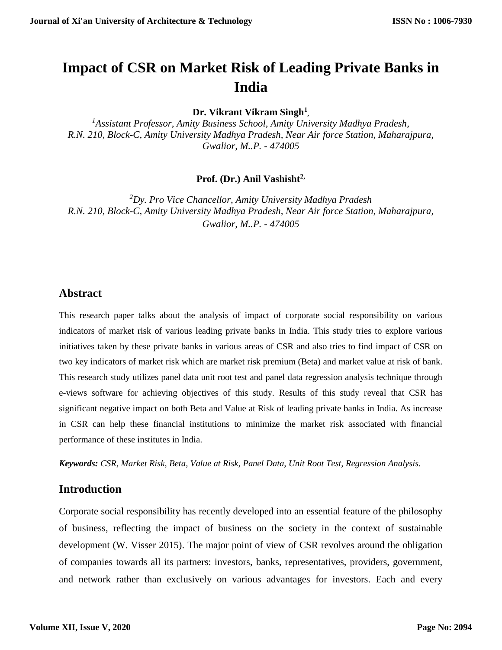# **Impact of CSR on Market Risk of Leading Private Banks in India**

**Dr. Vikrant Vikram Singh<sup>1</sup> ,**

*<sup>1</sup>Assistant Professor, Amity Business School, Amity University Madhya Pradesh, R.N. 210, Block-C, Amity University Madhya Pradesh, Near Air force Station, Maharajpura, Gwalior, M..P. - 474005*

**Prof. (Dr.) Anil Vashisht2,**

*<sup>2</sup>Dy. Pro Vice Chancellor, Amity University Madhya Pradesh R.N. 210, Block-C, Amity University Madhya Pradesh, Near Air force Station, Maharajpura, Gwalior, M..P. - 474005*

## **Abstract**

This research paper talks about the analysis of impact of corporate social responsibility on various indicators of market risk of various leading private banks in India. This study tries to explore various initiatives taken by these private banks in various areas of CSR and also tries to find impact of CSR on two key indicators of market risk which are market risk premium (Beta) and market value at risk of bank. This research study utilizes panel data unit root test and panel data regression analysis technique through e-views software for achieving objectives of this study. Results of this study reveal that CSR has significant negative impact on both Beta and Value at Risk of leading private banks in India. As increase in CSR can help these financial institutions to minimize the market risk associated with financial performance of these institutes in India.

*Keywords: CSR, Market Risk, Beta, Value at Risk, Panel Data, Unit Root Test, Regression Analysis.* 

## **Introduction**

Corporate social responsibility has recently developed into an essential feature of the philosophy of business, reflecting the impact of business on the society in the context of sustainable development (W. Visser 2015). The major point of view of CSR revolves around the obligation of companies towards all its partners: investors, banks, representatives, providers, government, and network rather than exclusively on various advantages for investors. Each and every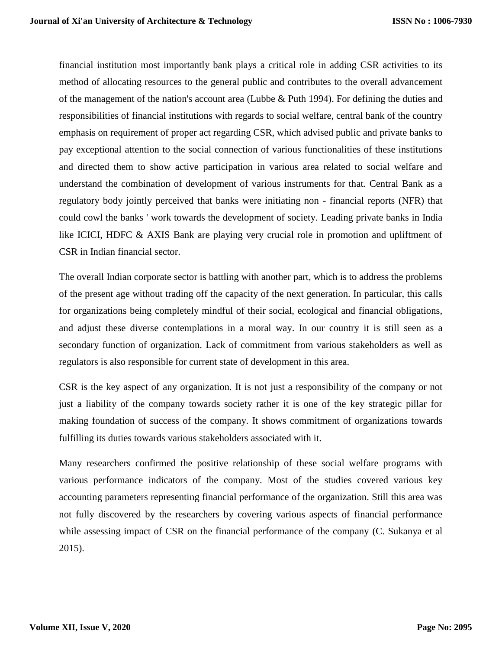financial institution most importantly bank plays a critical role in adding CSR activities to its method of allocating resources to the general public and contributes to the overall advancement of the management of the nation's account area (Lubbe & Puth 1994). For defining the duties and responsibilities of financial institutions with regards to social welfare, central bank of the country emphasis on requirement of proper act regarding CSR, which advised public and private banks to pay exceptional attention to the social connection of various functionalities of these institutions and directed them to show active participation in various area related to social welfare and understand the combination of development of various instruments for that. Central Bank as a regulatory body jointly perceived that banks were initiating non - financial reports (NFR) that could cowl the banks ' work towards the development of society. Leading private banks in India like ICICI, HDFC & AXIS Bank are playing very crucial role in promotion and upliftment of CSR in Indian financial sector.

The overall Indian corporate sector is battling with another part, which is to address the problems of the present age without trading off the capacity of the next generation. In particular, this calls for organizations being completely mindful of their social, ecological and financial obligations, and adjust these diverse contemplations in a moral way. In our country it is still seen as a secondary function of organization. Lack of commitment from various stakeholders as well as regulators is also responsible for current state of development in this area.

CSR is the key aspect of any organization. It is not just a responsibility of the company or not just a liability of the company towards society rather it is one of the key strategic pillar for making foundation of success of the company. It shows commitment of organizations towards fulfilling its duties towards various stakeholders associated with it.

Many researchers confirmed the positive relationship of these social welfare programs with various performance indicators of the company. Most of the studies covered various key accounting parameters representing financial performance of the organization. Still this area was not fully discovered by the researchers by covering various aspects of financial performance while assessing impact of CSR on the financial performance of the company (C. Sukanya et al 2015).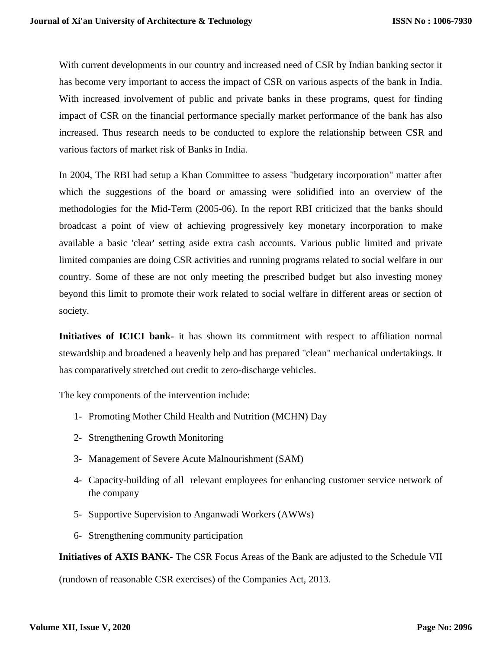With current developments in our country and increased need of CSR by Indian banking sector it has become very important to access the impact of CSR on various aspects of the bank in India. With increased involvement of public and private banks in these programs, quest for finding impact of CSR on the financial performance specially market performance of the bank has also increased. Thus research needs to be conducted to explore the relationship between CSR and various factors of market risk of Banks in India.

In 2004, The RBI had setup a Khan Committee to assess "budgetary incorporation" matter after which the suggestions of the board or amassing were solidified into an overview of the methodologies for the Mid-Term (2005-06). In the report RBI criticized that the banks should broadcast a point of view of achieving progressively key monetary incorporation to make available a basic 'clear' setting aside extra cash accounts. Various public limited and private limited companies are doing CSR activities and running programs related to social welfare in our country. Some of these are not only meeting the prescribed budget but also investing money beyond this limit to promote their work related to social welfare in different areas or section of society.

**Initiatives of ICICI bank-** it has shown its commitment with respect to affiliation normal stewardship and broadened a heavenly help and has prepared "clean" mechanical undertakings. It has comparatively stretched out credit to zero-discharge vehicles.

The key components of the intervention include:

- 1- Promoting Mother Child Health and Nutrition (MCHN) Day
- 2- Strengthening Growth Monitoring
- 3- Management of Severe Acute Malnourishment (SAM)
- 4- Capacity-building of all relevant employees for enhancing customer service network of the company
- 5- Supportive Supervision to Anganwadi Workers (AWWs)
- 6- Strengthening community participation

**Initiatives of AXIS BANK-** The CSR Focus Areas of the Bank are adjusted to the Schedule VII

(rundown of reasonable CSR exercises) of the Companies Act, 2013.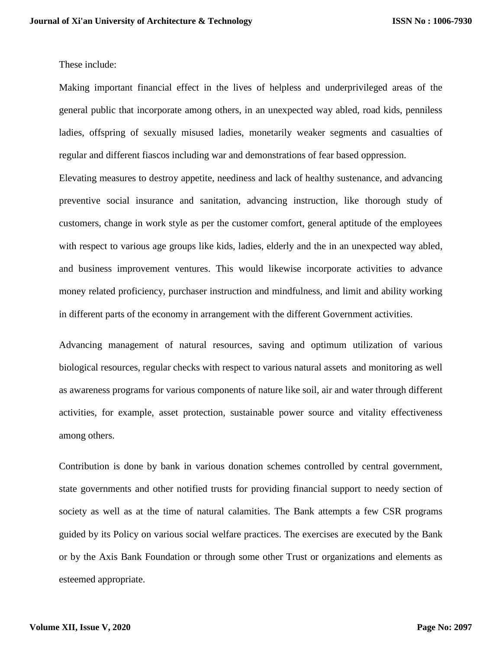These include:

Making important financial effect in the lives of helpless and underprivileged areas of the general public that incorporate among others, in an unexpected way abled, road kids, penniless ladies, offspring of sexually misused ladies, monetarily weaker segments and casualties of regular and different fiascos including war and demonstrations of fear based oppression.

Elevating measures to destroy appetite, neediness and lack of healthy sustenance, and advancing preventive social insurance and sanitation, advancing instruction, like thorough study of customers, change in work style as per the customer comfort, general aptitude of the employees with respect to various age groups like kids, ladies, elderly and the in an unexpected way abled, and business improvement ventures. This would likewise incorporate activities to advance money related proficiency, purchaser instruction and mindfulness, and limit and ability working in different parts of the economy in arrangement with the different Government activities.

Advancing management of natural resources, saving and optimum utilization of various biological resources, regular checks with respect to various natural assets and monitoring as well as awareness programs for various components of nature like soil, air and water through different activities, for example, asset protection, sustainable power source and vitality effectiveness among others.

Contribution is done by bank in various donation schemes controlled by central government, state governments and other notified trusts for providing financial support to needy section of society as well as at the time of natural calamities. The Bank attempts a few CSR programs guided by its Policy on various social welfare practices. The exercises are executed by the Bank or by the Axis Bank Foundation or through some other Trust or organizations and elements as esteemed appropriate.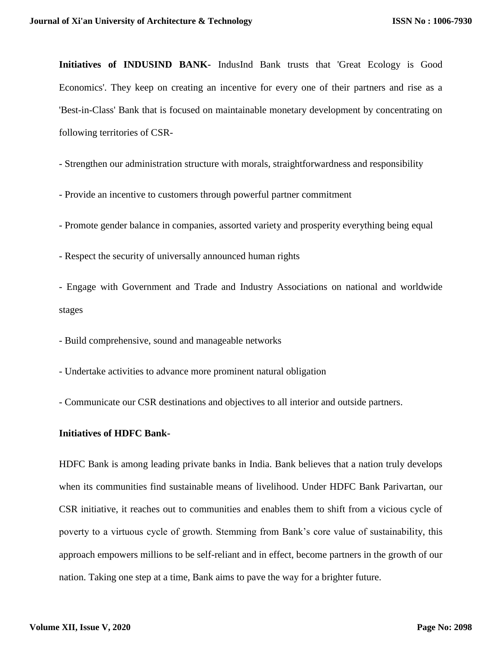**Initiatives of INDUSIND BANK-** IndusInd Bank trusts that 'Great Ecology is Good Economics'. They keep on creating an incentive for every one of their partners and rise as a 'Best-in-Class' Bank that is focused on maintainable monetary development by concentrating on following territories of CSR-

- Strengthen our administration structure with morals, straightforwardness and responsibility

- Provide an incentive to customers through powerful partner commitment

- Promote gender balance in companies, assorted variety and prosperity everything being equal

- Respect the security of universally announced human rights

- Engage with Government and Trade and Industry Associations on national and worldwide stages

- Build comprehensive, sound and manageable networks

- Undertake activities to advance more prominent natural obligation

- Communicate our CSR destinations and objectives to all interior and outside partners.

#### **Initiatives of HDFC Bank-**

HDFC Bank is among leading private banks in India. Bank believes that a nation truly develops when its communities find sustainable means of livelihood. Under HDFC Bank Parivartan, our CSR initiative, it reaches out to communities and enables them to shift from a vicious cycle of poverty to a virtuous cycle of growth. Stemming from Bank's core value of sustainability, this approach empowers millions to be self-reliant and in effect, become partners in the growth of our nation. Taking one step at a time, Bank aims to pave the way for a brighter future.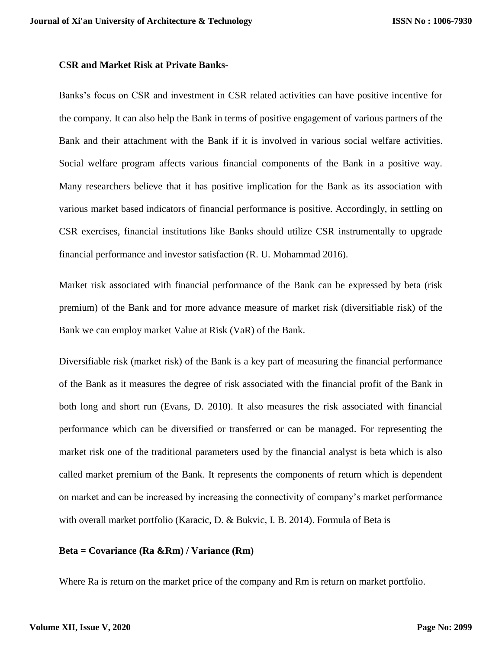#### **CSR and Market Risk at Private Banks-**

Banks's focus on CSR and investment in CSR related activities can have positive incentive for the company. It can also help the Bank in terms of positive engagement of various partners of the Bank and their attachment with the Bank if it is involved in various social welfare activities. Social welfare program affects various financial components of the Bank in a positive way. Many researchers believe that it has positive implication for the Bank as its association with various market based indicators of financial performance is positive. Accordingly, in settling on CSR exercises, financial institutions like Banks should utilize CSR instrumentally to upgrade financial performance and investor satisfaction (R. U. Mohammad 2016).

Market risk associated with financial performance of the Bank can be expressed by beta (risk premium) of the Bank and for more advance measure of market risk (diversifiable risk) of the Bank we can employ market Value at Risk (VaR) of the Bank.

Diversifiable risk (market risk) of the Bank is a key part of measuring the financial performance of the Bank as it measures the degree of risk associated with the financial profit of the Bank in both long and short run (Evans, D. 2010). It also measures the risk associated with financial performance which can be diversified or transferred or can be managed. For representing the market risk one of the traditional parameters used by the financial analyst is beta which is also called market premium of the Bank. It represents the components of return which is dependent on market and can be increased by increasing the connectivity of company's market performance with overall market portfolio (Karacic, D. & Bukvic, I. B. 2014). Formula of Beta is

#### **Beta = Covariance (Ra &Rm) / Variance (Rm)**

Where Ra is return on the market price of the company and Rm is return on market portfolio.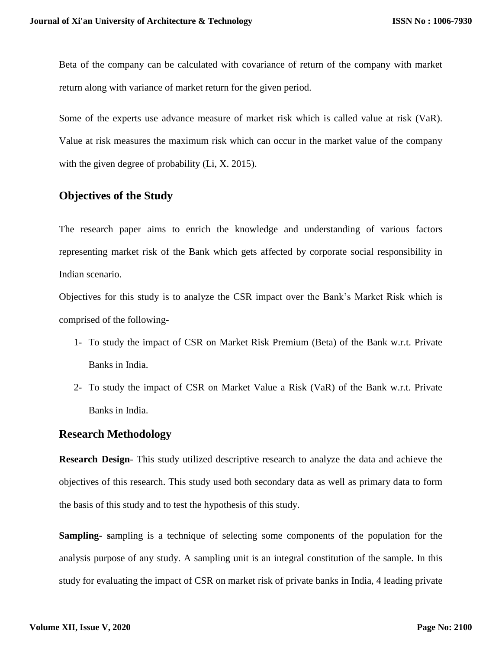Beta of the company can be calculated with covariance of return of the company with market return along with variance of market return for the given period.

Some of the experts use advance measure of market risk which is called value at risk (VaR). Value at risk measures the maximum risk which can occur in the market value of the company with the given degree of probability (Li, X. 2015).

# **Objectives of the Study**

The research paper aims to enrich the knowledge and understanding of various factors representing market risk of the Bank which gets affected by corporate social responsibility in Indian scenario.

Objectives for this study is to analyze the CSR impact over the Bank's Market Risk which is comprised of the following-

- 1- To study the impact of CSR on Market Risk Premium (Beta) of the Bank w.r.t. Private Banks in India.
- 2- To study the impact of CSR on Market Value a Risk (VaR) of the Bank w.r.t. Private Banks in India.

## **Research Methodology**

**Research Design**- This study utilized descriptive research to analyze the data and achieve the objectives of this research. This study used both secondary data as well as primary data to form the basis of this study and to test the hypothesis of this study.

**Sampling- s**ampling is a technique of selecting some components of the population for the analysis purpose of any study. A sampling unit is an integral constitution of the sample. In this study for evaluating the impact of CSR on market risk of private banks in India, 4 leading private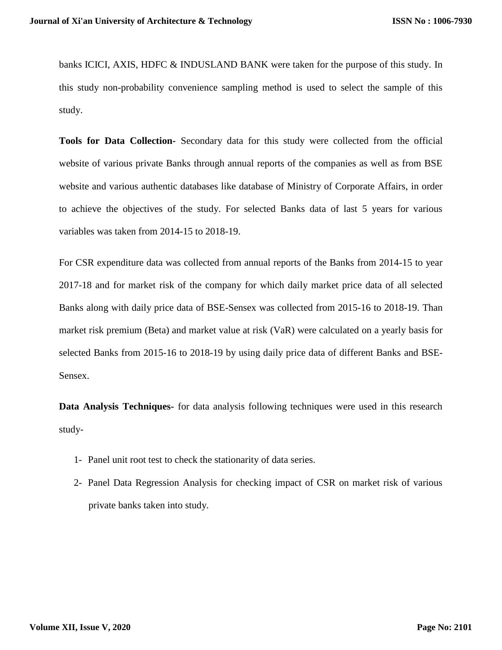banks ICICI, AXIS, HDFC & INDUSLAND BANK were taken for the purpose of this study. In this study non-probability convenience sampling method is used to select the sample of this study.

**Tools for Data Collection-** Secondary data for this study were collected from the official website of various private Banks through annual reports of the companies as well as from BSE website and various authentic databases like database of Ministry of Corporate Affairs, in order to achieve the objectives of the study. For selected Banks data of last 5 years for various variables was taken from 2014-15 to 2018-19.

For CSR expenditure data was collected from annual reports of the Banks from 2014-15 to year 2017-18 and for market risk of the company for which daily market price data of all selected Banks along with daily price data of BSE-Sensex was collected from 2015-16 to 2018-19. Than market risk premium (Beta) and market value at risk (VaR) were calculated on a yearly basis for selected Banks from 2015-16 to 2018-19 by using daily price data of different Banks and BSE-Sensex.

**Data Analysis Techniques-** for data analysis following techniques were used in this research study-

- 1- Panel unit root test to check the stationarity of data series.
- 2- Panel Data Regression Analysis for checking impact of CSR on market risk of various private banks taken into study.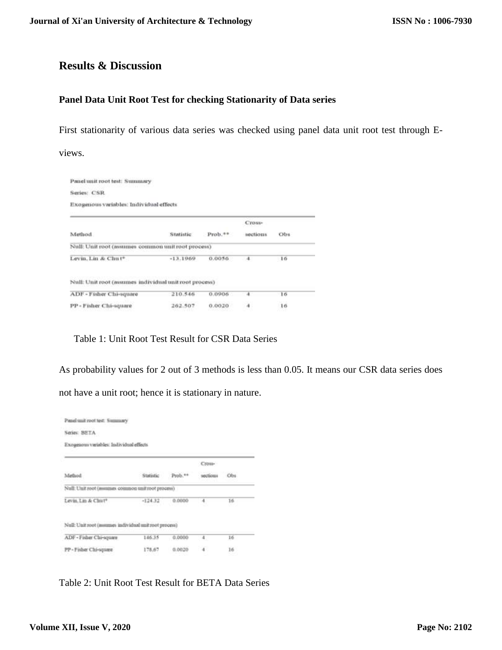# **Results & Discussion**

#### **Panel Data Unit Root Test for checking Stationarity of Data series**

First stationarity of various data series was checked using panel data unit root test through Eviews.

| Panel unit root test: Summary                          |            |           |          |     |  |
|--------------------------------------------------------|------------|-----------|----------|-----|--|
| Series: CSR                                            |            |           |          |     |  |
| Exogenous variables: Individual effects                |            |           |          |     |  |
|                                                        |            |           | Cross-   |     |  |
| Method                                                 | Statistic  | $Prob.++$ | sections | Obs |  |
| Null: Unit root (assumes common unit root process)     |            |           |          |     |  |
| Levin, Lin & Chut*                                     | $-13.1969$ | 0.0056    | 4.       | 16  |  |
| Null: Unit root (assumes individual unit root process) |            |           |          |     |  |
| ADF - Fisher Chi-square                                | 210.546    | 0.0906    |          | 16  |  |
| PP - Fisher Chi-square                                 | 262.507    | 0.0020    | 41       | 16  |  |

Table 1: Unit Root Test Result for CSR Data Series

As probability values for 2 out of 3 methods is less than 0.05. It means our CSR data series does not have a unit root; hence it is stationary in nature.

| Series: BETA                                           |           |          |                |     |  |
|--------------------------------------------------------|-----------|----------|----------------|-----|--|
| Exogenous variables: Individual effects.               |           |          |                |     |  |
|                                                        |           |          | Cross-         |     |  |
| Method                                                 | Statistic | Prob. ** | sections       | Obs |  |
| Null: Unit root (assumes common unit root process)     |           |          |                |     |  |
| Levin, Lin & Chut*                                     | $-124.32$ | 0.0000   | 4              | 16  |  |
|                                                        |           |          |                |     |  |
| Null: Unit root (assumes individual unit root process) |           |          |                |     |  |
| ADF - Fisher Chi-square                                | 146.35    | 0.0000   | $\overline{4}$ | 16  |  |
| PP - Fisher Chi-square                                 | 178.67    |          | ä.             | 16  |  |

Table 2: Unit Root Test Result for BETA Data Series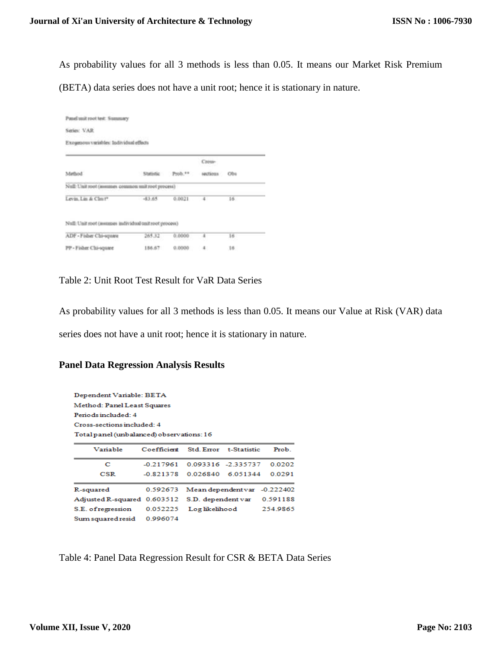As probability values for all 3 methods is less than 0.05. It means our Market Risk Premium

(BETA) data series does not have a unit root; hence it is stationary in nature.

| Series: VAR                                            |                   |        |           |     |  |
|--------------------------------------------------------|-------------------|--------|-----------|-----|--|
| Exogenous variables: Individual effects                |                   |        |           |     |  |
|                                                        |                   |        | Cross-    |     |  |
| Method:                                                | Statistic Prob.** |        | sections. | Obs |  |
| Null: Unit root (assumes common unit root process)     |                   |        |           |     |  |
| Levin, Lin & Clnt?                                     | $-63.65$          | 0.0021 | ¢.        | 16. |  |
|                                                        |                   |        |           |     |  |
| Null: Unit root (assumes individual unit root process) |                   |        |           |     |  |
| ADF - Fisher Chi-square                                | 265.32            | 0.0000 | z         | 16  |  |
| PP - Fisher Chi-square                                 | 156.67            | 0.0000 | s.        | 16  |  |

Table 2: Unit Root Test Result for VaR Data Series

As probability values for all 3 methods is less than 0.05. It means our Value at Risk (VAR) data series does not have a unit root; hence it is stationary in nature.

### **Panel Data Regression Analysis Results**

| Dependent Variable: BETA                  |             |                             |                              |          |
|-------------------------------------------|-------------|-----------------------------|------------------------------|----------|
| Method: Panel Least Squares               |             |                             |                              |          |
| Periods included: 4                       |             |                             |                              |          |
| Cross-sections included: 4                |             |                             |                              |          |
| Total panel (unbalanced) observations: 16 |             |                             |                              |          |
| Variable                                  | Coefficient |                             | Std. Error t-Statistic       | Prob.    |
| с                                         | -0.217961   |                             | 0.093316 -2.335737           | 0.0202   |
| $_{\rm CSR}$                              |             | -0.821378 0.026840 6.051344 |                              | 0.0291   |
| R-squared                                 | 0.592673    |                             | Mean dependent var -0.222402 |          |
| Adjusted R-squared 0.603512               |             |                             | S.D. dependent var           | 0.591188 |
| S.E. of regression                        | 0.052225    | Log likelihood              |                              | 254,9865 |
| Sum squared resid                         | 0.996074    |                             |                              |          |

Table 4: Panel Data Regression Result for CSR & BETA Data Series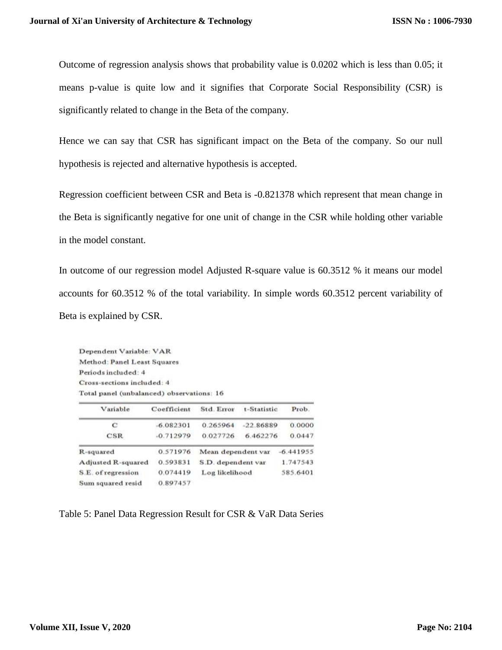Outcome of regression analysis shows that probability value is 0.0202 which is less than 0.05; it means p-value is quite low and it signifies that Corporate Social Responsibility (CSR) is significantly related to change in the Beta of the company.

Hence we can say that CSR has significant impact on the Beta of the company. So our null hypothesis is rejected and alternative hypothesis is accepted.

Regression coefficient between CSR and Beta is -0.821378 which represent that mean change in the Beta is significantly negative for one unit of change in the CSR while holding other variable in the model constant.

In outcome of our regression model Adjusted R-square value is 60.3512 % it means our model accounts for 60.3512 % of the total variability. In simple words 60.3512 percent variability of Beta is explained by CSR.

Dependent Variable: VAR Method: Panel Least Squares Periods included: 4 Cross-sections included: 4 Total panel (unbalanced) observations: 16

| Variable           | Coefficient | Std. Error         | t-Statistic | Prob.       |  |
|--------------------|-------------|--------------------|-------------|-------------|--|
| с                  | $-6.082301$ | 0.265964           | $-22.86889$ | 0.0000      |  |
| CSR                | $-0.712979$ | 0.027726           | 6.462276    | 0.0447      |  |
| R-squared          | 0.571976    | Mean dependent var |             | $-6.441955$ |  |
| Adjusted R-squared | 0.593831    | S.D. dependent var |             | 1.747543    |  |
| S.E. of regression | 0.074419    | Log likelihood     |             | 585.6401    |  |
| Sum squared resid  | 0.897457    |                    |             |             |  |

Table 5: Panel Data Regression Result for CSR & VaR Data Series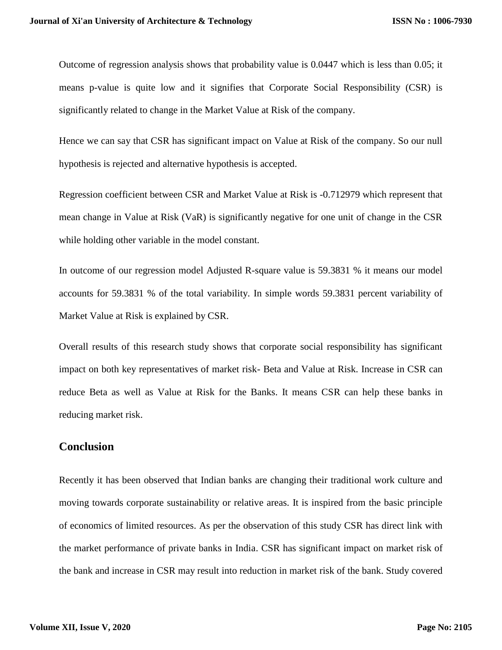Outcome of regression analysis shows that probability value is 0.0447 which is less than 0.05; it means p-value is quite low and it signifies that Corporate Social Responsibility (CSR) is significantly related to change in the Market Value at Risk of the company.

Hence we can say that CSR has significant impact on Value at Risk of the company. So our null hypothesis is rejected and alternative hypothesis is accepted.

Regression coefficient between CSR and Market Value at Risk is -0.712979 which represent that mean change in Value at Risk (VaR) is significantly negative for one unit of change in the CSR while holding other variable in the model constant.

In outcome of our regression model Adjusted R-square value is 59.3831 % it means our model accounts for 59.3831 % of the total variability. In simple words 59.3831 percent variability of Market Value at Risk is explained by CSR.

Overall results of this research study shows that corporate social responsibility has significant impact on both key representatives of market risk- Beta and Value at Risk. Increase in CSR can reduce Beta as well as Value at Risk for the Banks. It means CSR can help these banks in reducing market risk.

## **Conclusion**

Recently it has been observed that Indian banks are changing their traditional work culture and moving towards corporate sustainability or relative areas. It is inspired from the basic principle of economics of limited resources. As per the observation of this study CSR has direct link with the market performance of private banks in India. CSR has significant impact on market risk of the bank and increase in CSR may result into reduction in market risk of the bank. Study covered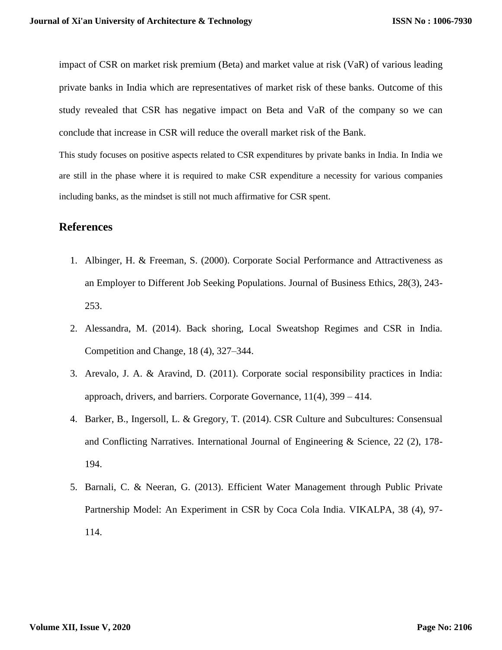impact of CSR on market risk premium (Beta) and market value at risk (VaR) of various leading private banks in India which are representatives of market risk of these banks. Outcome of this study revealed that CSR has negative impact on Beta and VaR of the company so we can conclude that increase in CSR will reduce the overall market risk of the Bank.

This study focuses on positive aspects related to CSR expenditures by private banks in India. In India we are still in the phase where it is required to make CSR expenditure a necessity for various companies including banks, as the mindset is still not much affirmative for CSR spent.

## **References**

- 1. Albinger, H. & Freeman, S. (2000). Corporate Social Performance and Attractiveness as an Employer to Different Job Seeking Populations. Journal of Business Ethics, 28(3), 243- 253.
- 2. Alessandra, M. (2014). Back shoring, Local Sweatshop Regimes and CSR in India. Competition and Change, 18 (4), 327–344.
- 3. Arevalo, J. A. & Aravind, D. (2011). Corporate social responsibility practices in India: approach, drivers, and barriers. Corporate Governance, 11(4), 399 – 414.
- 4. Barker, B., Ingersoll, L. & Gregory, T. (2014). CSR Culture and Subcultures: Consensual and Conflicting Narratives. International Journal of Engineering & Science, 22 (2), 178- 194.
- 5. Barnali, C. & Neeran, G. (2013). Efficient Water Management through Public Private Partnership Model: An Experiment in CSR by Coca Cola India. VIKALPA, 38 (4), 97- 114.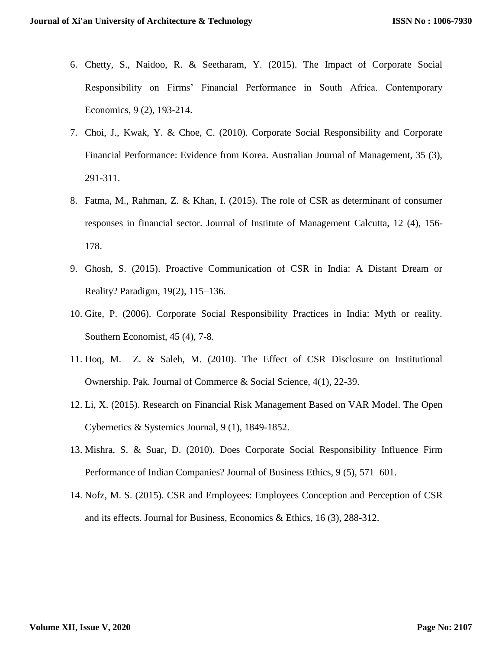- 6. Chetty, S., Naidoo, R. & Seetharam, Y. (2015). The Impact of Corporate Social Responsibility on Firms' Financial Performance in South Africa. Contemporary Economics, 9 (2), 193-214.
- 7. Choi, J., Kwak, Y. & Choe, C. (2010). Corporate Social Responsibility and Corporate Financial Performance: Evidence from Korea. Australian Journal of Management, 35 (3), 291-311.
- 8. Fatma, M., Rahman, Z. & Khan, I. (2015). The role of CSR as determinant of consumer responses in financial sector. Journal of Institute of Management Calcutta, 12 (4), 156- 178.
- 9. Ghosh, S. (2015). Proactive Communication of CSR in India: A Distant Dream or Reality? Paradigm, 19(2), 115–136.
- 10. Gite, P. (2006). Corporate Social Responsibility Practices in India: Myth or reality. Southern Economist, 45 (4), 7-8.
- 11. Hoq, M. Z. & Saleh, M. (2010). The Effect of CSR Disclosure on Institutional Ownership. Pak. Journal of Commerce & Social Science, 4(1), 22-39.
- 12. Li, X. (2015). Research on Financial Risk Management Based on VAR Model. The Open Cybernetics & Systemics Journal, 9 (1), 1849-1852.
- 13. Mishra, S. & Suar, D. (2010). Does Corporate Social Responsibility Influence Firm Performance of Indian Companies? Journal of Business Ethics, 9 (5), 571–601.
- 14. Nofz, M. S. (2015). CSR and Employees: Employees Conception and Perception of CSR and its effects. Journal for Business, Economics & Ethics, 16 (3), 288-312.